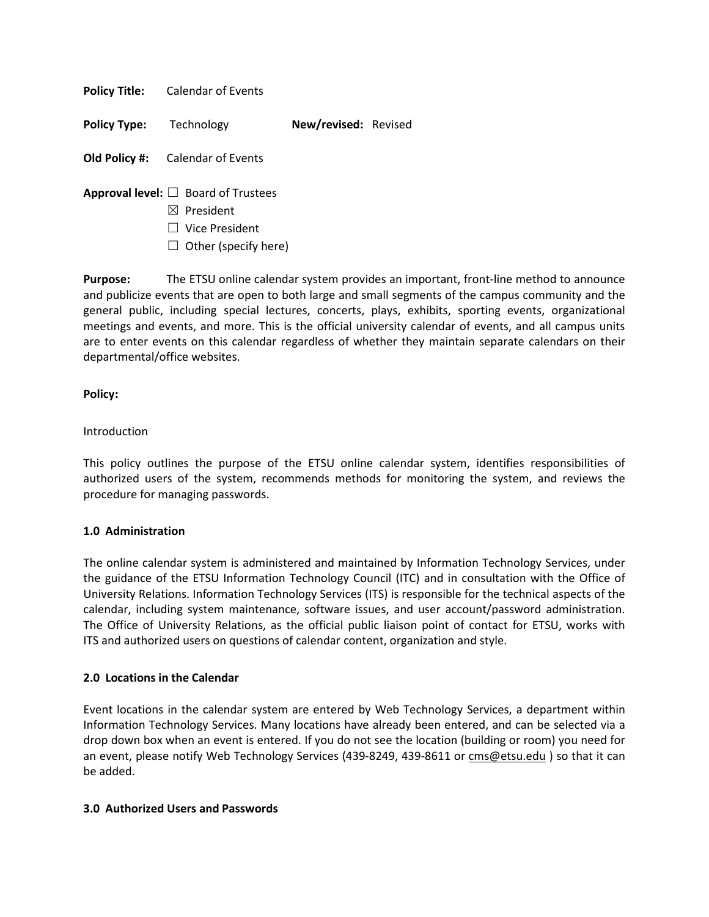**Policy Title:** Calendar of Events

**Policy Type:** Technology **New/revised:** Revised

**Old Policy #:** Calendar of Events

- **Approval level:** ☐ Board of Trustees
	- ☒ President
	- ☐ Vice President
	- $\Box$  Other (specify here)

**Purpose:** The ETSU online calendar system provides an important, front-line method to announce and publicize events that are open to both large and small segments of the campus community and the general public, including special lectures, concerts, plays, exhibits, sporting events, organizational meetings and events, and more. This is the official university calendar of events, and all campus units are to enter events on this calendar regardless of whether they maintain separate calendars on their departmental/office websites.

### **Policy:**

### Introduction

This policy outlines the purpose of the ETSU online calendar system, identifies responsibilities of authorized users of the system, recommends methods for monitoring the system, and reviews the procedure for managing passwords.

#### **1.0 Administration**

The online calendar system is administered and maintained by Information Technology Services, under the guidance of the ETSU Information Technology Council (ITC) and in consultation with the Office of University Relations. Information Technology Services (ITS) is responsible for the technical aspects of the calendar, including system maintenance, software issues, and user account/password administration. The Office of University Relations, as the official public liaison point of contact for ETSU, works with ITS and authorized users on questions of calendar content, organization and style.

#### **2.0 Locations in the Calendar**

Event locations in the calendar system are entered by Web Technology Services, a department within Information Technology Services. Many locations have already been entered, and can be selected via a drop down box when an event is entered. If you do not see the location (building or room) you need for an event, please notify Web Technology Services (439-8249, 439-8611 or [cms@etsu.edu](mailto:cms@etsu.edu?Subject=) ) so that it can be added.

### **3.0 Authorized Users and Passwords**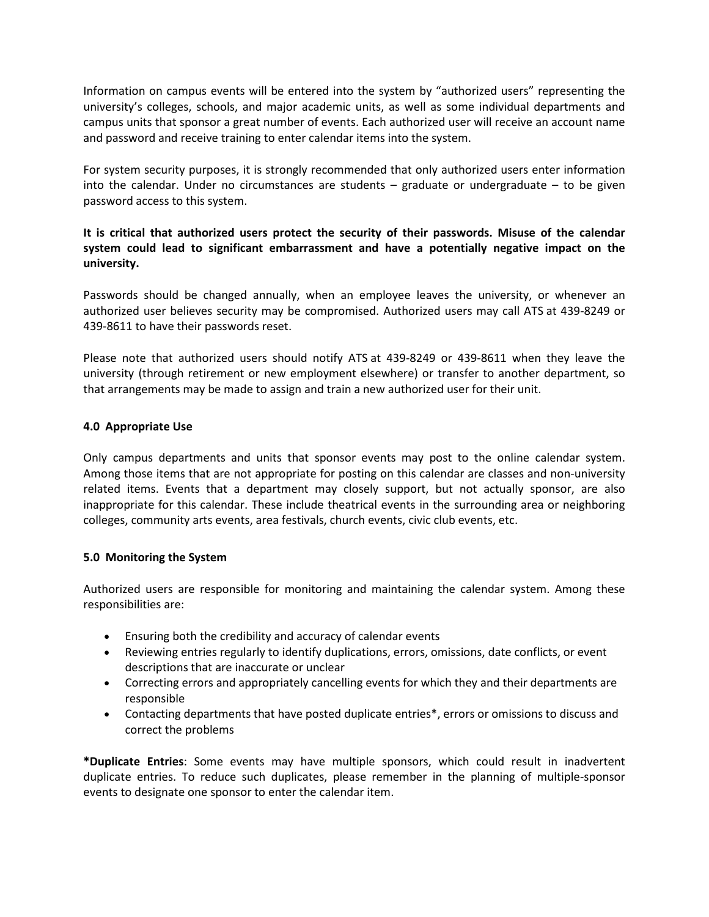Information on campus events will be entered into the system by "authorized users" representing the university's colleges, schools, and major academic units, as well as some individual departments and campus units that sponsor a great number of events. Each authorized user will receive an account name and password and receive training to enter calendar items into the system.

For system security purposes, it is strongly recommended that only authorized users enter information into the calendar. Under no circumstances are students – graduate or undergraduate – to be given password access to this system.

# **It is critical that authorized users protect the security of their passwords. Misuse of the calendar system could lead to significant embarrassment and have a potentially negative impact on the university.**

Passwords should be changed annually, when an employee leaves the university, or whenever an authorized user believes security may be compromised. Authorized users may call ATS at 439-8249 or 439-8611 to have their passwords reset.

Please note that authorized users should notify ATS at 439-8249 or 439-8611 when they leave the university (through retirement or new employment elsewhere) or transfer to another department, so that arrangements may be made to assign and train a new authorized user for their unit.

# **4.0 Appropriate Use**

Only campus departments and units that sponsor events may post to the online calendar system. Among those items that are not appropriate for posting on this calendar are classes and non-university related items. Events that a department may closely support, but not actually sponsor, are also inappropriate for this calendar. These include theatrical events in the surrounding area or neighboring colleges, community arts events, area festivals, church events, civic club events, etc.

# **5.0 Monitoring the System**

Authorized users are responsible for monitoring and maintaining the calendar system. Among these responsibilities are:

- Ensuring both the credibility and accuracy of calendar events
- Reviewing entries regularly to identify duplications, errors, omissions, date conflicts, or event descriptions that are inaccurate or unclear
- Correcting errors and appropriately cancelling events for which they and their departments are responsible
- Contacting departments that have posted duplicate entries\*, errors or omissions to discuss and correct the problems

**\*Duplicate Entries**: Some events may have multiple sponsors, which could result in inadvertent duplicate entries. To reduce such duplicates, please remember in the planning of multiple-sponsor events to designate one sponsor to enter the calendar item.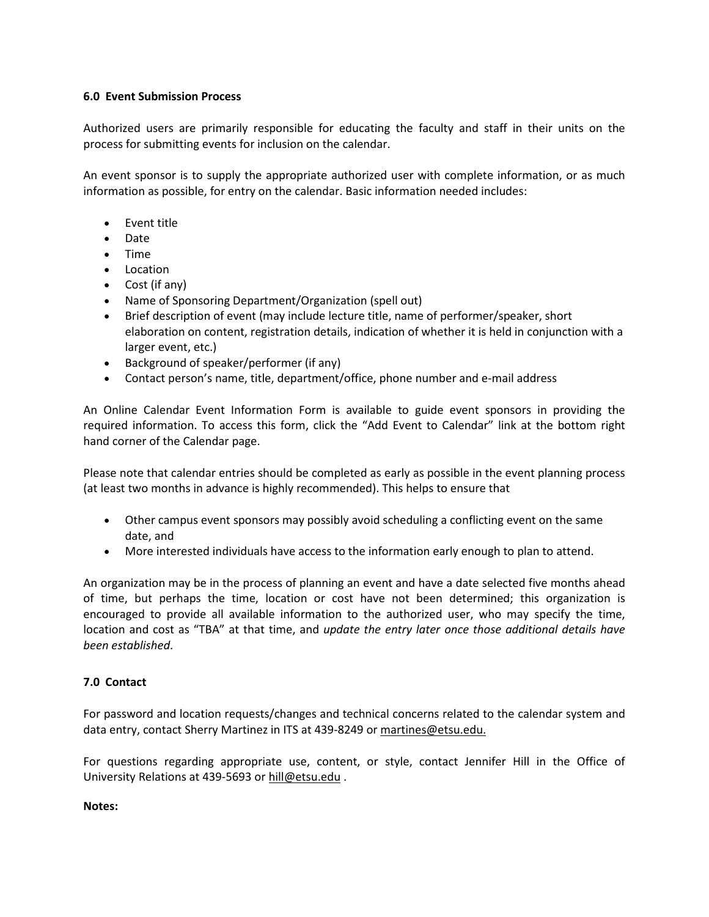# **6.0 Event Submission Process**

Authorized users are primarily responsible for educating the faculty and staff in their units on the process for submitting events for inclusion on the calendar.

An event sponsor is to supply the appropriate authorized user with complete information, or as much information as possible, for entry on the calendar. Basic information needed includes:

- Event title
- Date
- Time
- Location
- Cost (if any)
- Name of Sponsoring Department/Organization (spell out)
- Brief description of event (may include lecture title, name of performer/speaker, short elaboration on content, registration details, indication of whether it is held in conjunction with a larger event, etc.)
- Background of speaker/performer (if any)
- Contact person's name, title, department/office, phone number and e-mail address

An Online Calendar Event Information Form is available to guide event sponsors in providing the required information. To access this form, click the "Add Event to Calendar" link at the bottom right hand corner of the Calendar page.

Please note that calendar entries should be completed as early as possible in the event planning process (at least two months in advance is highly recommended). This helps to ensure that

- Other campus event sponsors may possibly avoid scheduling a conflicting event on the same date, and
- More interested individuals have access to the information early enough to plan to attend.

An organization may be in the process of planning an event and have a date selected five months ahead of time, but perhaps the time, location or cost have not been determined; this organization is encouraged to provide all available information to the authorized user, who may specify the time, location and cost as "TBA" at that time, and *update the entry later once those additional details have been established*.

# **7.0 Contact**

For password and location requests/changes and technical concerns related to the calendar system and data entry, contact Sherry Martinez in ITS at 439-8249 or martines@etsu.edu.

For questions regarding appropriate use, content, or style, contact Jennifer Hill in the Office of University Relations at 439-5693 or [hill@etsu.edu](mailto:hill@etsu.edu?Subject=) .

#### **Notes:**